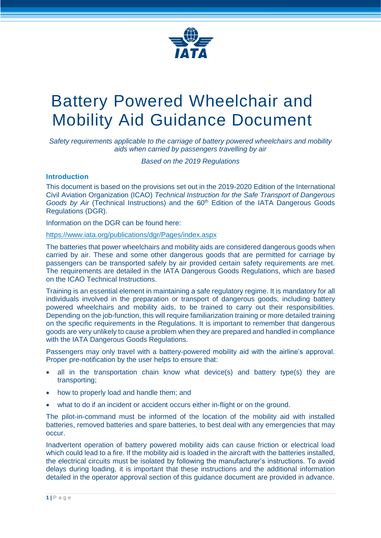

# Battery Powered Wheelchair and Mobility Aid Guidance Document

*Safety requirements applicable to the carriage of battery powered wheelchairs and mobility aids when carried by passengers travelling by air*

*Based on the 2019 Regulations*

## **Introduction**

This document is based on the provisions set out in the 2019-2020 Edition of the International Civil Aviation Organization (ICAO) *Technical Instruction for the Safe Transport of Dangerous Goods by Air* (Technical Instructions) and the 60<sup>th</sup> Edition of the IATA Dangerous Goods Regulations (DGR).

Information on the DGR can be found here:

## https://www.iata.org/publications/dgr/Pages/index.aspx

The batteries that power wheelchairs and mobility aids are considered dangerous goods when carried by air. These and some other dangerous goods that are permitted for carriage by passengers can be transported safely by air provided certain safety requirements are met. The requirements are detailed in the IATA Dangerous Goods Regulations, which are based on the ICAO Technical Instructions.

Training is an essential element in maintaining a safe regulatory regime. It is mandatory for all individuals involved in the preparation or transport of dangerous goods, including battery powered wheelchairs and mobility aids, to be trained to carry out their responsibilities. Depending on the job-function, this will require familiarization training or more detailed training on the specific requirements in the Regulations. It is important to remember that dangerous goods are very unlikely to cause a problem when they are prepared and handled in compliance with the IATA Dangerous Goods Regulations.

Passengers may only travel with a battery-powered mobility aid with the airline's approval. Proper pre-notification by the user helps to ensure that:

- all in the transportation chain know what device(s) and battery type(s) they are transporting;
- how to properly load and handle them; and
- what to do if an incident or accident occurs either in-flight or on the ground.

The pilot-in-command must be informed of the location of the mobility aid with installed batteries, removed batteries and spare batteries, to best deal with any emergencies that may occur.

Inadvertent operation of battery powered mobility aids can cause friction or electrical load which could lead to a fire. If the mobility aid is loaded in the aircraft with the batteries installed, the electrical circuits must be isolated by following the manufacturer's instructions. To avoid delays during loading, it is important that these instructions and the additional information detailed in the operator approval section of this guidance document are provided in advance.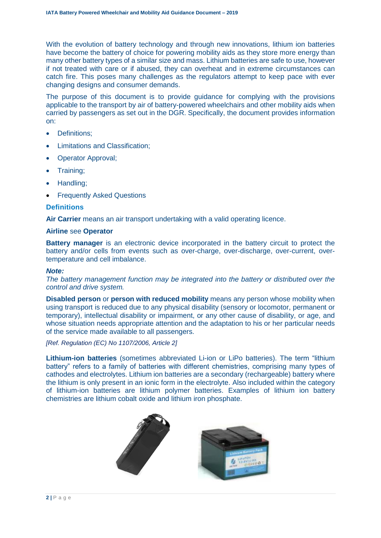With the evolution of battery technology and through new innovations, lithium ion batteries have become the battery of choice for powering mobility aids as they store more energy than many other battery types of a similar size and mass. Lithium batteries are safe to use, however if not treated with care or if abused, they can overheat and in extreme circumstances can catch fire. This poses many challenges as the regulators attempt to keep pace with ever changing designs and consumer demands.

The purpose of this document is to provide guidance for complying with the provisions applicable to the transport by air of battery-powered wheelchairs and other mobility aids when carried by passengers as set out in the DGR. Specifically, the document provides information on:

- Definitions;
- Limitations and Classification;
- Operator Approval;
- Training;
- Handling;
- Frequently Asked Questions

## **Definitions**

**Air Carrier** means an air transport undertaking with a valid operating licence.

#### **Airline** see **Operator**

**Battery manager** is an electronic device incorporated in the battery circuit to protect the battery and/or cells from events such as over-charge, over-discharge, over-current, overtemperature and cell imbalance.

#### *Note:*

*The battery management function may be integrated into the battery or distributed over the control and drive system.*

**Disabled person** or **person with reduced mobility** means any person whose mobility when using transport is reduced due to any physical disability (sensory or locomotor, permanent or temporary), intellectual disability or impairment, or any other cause of disability, or age, and whose situation needs appropriate attention and the adaptation to his or her particular needs of the service made available to all passengers.

*[Ref. Regulation (EC) No 1107/2006, Article 2]*

**Lithium-ion batteries** (sometimes abbreviated Li-ion or LiPo batteries). The term "lithium battery" refers to a family of batteries with different chemistries, comprising many types of cathodes and electrolytes. Lithium ion batteries are a secondary (rechargeable) battery where the lithium is only present in an ionic form in the electrolyte. Also included within the category of lithium-ion batteries are lithium polymer batteries. Examples of lithium ion battery chemistries are lithium cobalt oxide and lithium iron phosphate.

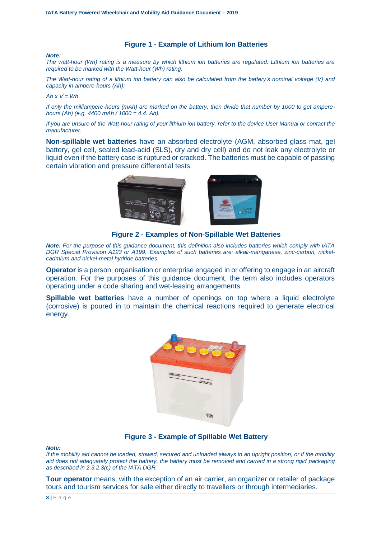#### **Figure 1 - Example of Lithium Ion Batteries**

#### *Note:*

*The watt-hour (Wh) rating is a measure by which lithium ion batteries are regulated. Lithium ion batteries are required to be marked with the Watt-hour (Wh) rating.*

*The Watt-hour rating of a lithium ion battery can also be calculated from the battery's nominal voltage (V) and capacity in ampere-hours (Ah):*

#### $Ah x V = Wh$

*If only the milliampere-hours (mAh) are marked on the battery, then divide that number by 1000 to get amperehours (Ah) (e.g. 4400 mAh / 1000 = 4.4. Ah).*

*If you are unsure of the Watt-hour rating of your lithium ion battery, refer to the device User Manual or contact the manufacturer.*

**Non-spillable wet batteries** have an absorbed electrolyte (AGM, absorbed glass mat, gel battery, gel cell, sealed lead-acid (SLS), dry and dry cell) and do not leak any electrolyte or liquid even if the battery case is ruptured or cracked. The batteries must be capable of passing certain vibration and pressure differential tests.



**Figure 2 - Examples of Non-Spillable Wet Batteries**

*Note: For the purpose of this guidance document, this definition also includes batteries which comply with IATA DGR Special Provision A123 or A199. Examples of such batteries are: alkali-manganese, zinc-carbon, nickelcadmium and nickel-metal hydride batteries.*

**Operator** is a person, organisation or enterprise engaged in or offering to engage in an aircraft operation. For the purposes of this guidance document, the term also includes operators operating under a code sharing and wet-leasing arrangements.

**Spillable wet batteries** have a number of openings on top where a liquid electrolyte (corrosive) is poured in to maintain the chemical reactions required to generate electrical energy.



## **Figure 3 - Example of Spillable Wet Battery**

#### *Note:*

*If the mobility aid cannot be loaded, stowed, secured and unloaded always in an upright position, or if the mobility aid does not adequately protect the battery, the battery must be removed and carried in a strong rigid packaging as described in 2.3.2.3(c) of the IATA DGR.*

**Tour operator** means, with the exception of an air carrier, an organizer or retailer of package tours and tourism services for sale either directly to travellers or through intermediaries.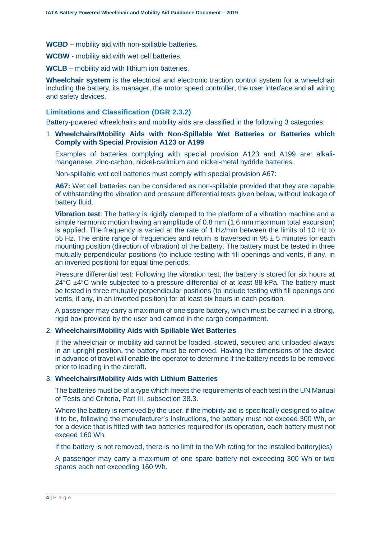**WCBD** – mobility aid with non-spillable batteries.

**WCBW** - mobility aid with wet cell batteries.

**WCLB** – mobility aid with lithium ion batteries.

**Wheelchair system** is the electrical and electronic traction control system for a wheelchair including the battery, its manager, the motor speed controller, the user interface and all wiring and safety devices.

#### **Limitations and Classification (DGR 2.3.2)**

Battery-powered wheelchairs and mobility aids are classified in the following 3 categories:

1. **Wheelchairs/Mobility Aids with Non-Spillable Wet Batteries or Batteries which Comply with Special Provision A123 or A199**

Examples of batteries complying with special provision A123 and A199 are: alkalimanganese, zinc-carbon, nickel-cadmium and nickel-metal hydride batteries.

Non-spillable wet cell batteries must comply with special provision A67:

**A67:** Wet cell batteries can be considered as non-spillable provided that they are capable of withstanding the vibration and pressure differential tests given below, without leakage of battery fluid.

**Vibration test**: The battery is rigidly clamped to the platform of a vibration machine and a simple harmonic motion having an amplitude of 0.8 mm (1.6 mm maximum total excursion) is applied. The frequency is varied at the rate of 1 Hz/min between the limits of 10 Hz to 55 Hz. The entire range of frequencies and return is traversed in  $95 \pm 5$  minutes for each mounting position (direction of vibration) of the battery. The battery must be tested in three mutually perpendicular positions (to include testing with fill openings and vents, if any, in an inverted position) for equal time periods.

Pressure differential test: Following the vibration test, the battery is stored for six hours at  $24^{\circ}$ C  $\pm$ 4 $^{\circ}$ C while subjected to a pressure differential of at least 88 kPa. The battery must be tested in three mutually perpendicular positions (to include testing with fill openings and vents, if any, in an inverted position) for at least six hours in each position.

A passenger may carry a maximum of one spare battery, which must be carried in a strong, rigid box provided by the user and carried in the cargo compartment.

#### 2. **Wheelchairs/Mobility Aids with Spillable Wet Batteries**

If the wheelchair or mobility aid cannot be loaded, stowed, secured and unloaded always in an upright position, the battery must be removed. Having the dimensions of the device in advance of travel will enable the operator to determine if the battery needs to be removed prior to loading in the aircraft.

#### 3. **Wheelchairs/Mobility Aids with Lithium Batteries**

The batteries must be of a type which meets the requirements of each test in the UN Manual of Tests and Criteria, Part III, subsection 38.3.

Where the battery is removed by the user, if the mobility aid is specifically designed to allow it to be, following the manufacturer's instructions, the battery must not exceed 300 Wh, or for a device that is fitted with two batteries required for its operation, each battery must not exceed 160 Wh.

If the battery is not removed, there is no limit to the Wh rating for the installed battery(ies)

A passenger may carry a maximum of one spare battery not exceeding 300 Wh or two spares each not exceeding 160 Wh.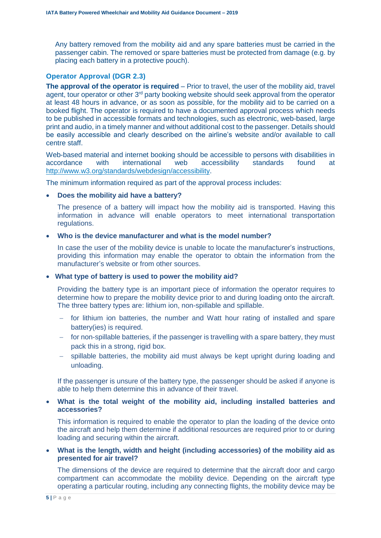Any battery removed from the mobility aid and any spare batteries must be carried in the passenger cabin. The removed or spare batteries must be protected from damage (e.g. by placing each battery in a protective pouch).

## **Operator Approval (DGR 2.3)**

**The approval of the operator is required** – Prior to travel, the user of the mobility aid, travel agent, tour operator or other 3<sup>rd</sup> party booking website should seek approval from the operator at least 48 hours in advance, or as soon as possible, for the mobility aid to be carried on a booked flight. The operator is required to have a documented approval process which needs to be published in accessible formats and technologies, such as electronic, web-based, large print and audio, in a timely manner and without additional cost to the passenger. Details should be easily accessible and clearly described on the airline's website and/or available to call centre staff.

Web-based material and internet booking should be accessible to persons with disabilities in accordance with international web accessibility standards found at [http://www.w3.org/standards/webdesign/accessibility.](http://www.w3.org/standards/webdesign/accessibility)

The minimum information required as part of the approval process includes:

## • **Does the mobility aid have a battery?**

The presence of a battery will impact how the mobility aid is transported. Having this information in advance will enable operators to meet international transportation regulations.

## • **Who is the device manufacturer and what is the model number?**

In case the user of the mobility device is unable to locate the manufacturer's instructions, providing this information may enable the operator to obtain the information from the manufacturer's website or from other sources.

## • **What type of battery is used to power the mobility aid?**

Providing the battery type is an important piece of information the operator requires to determine how to prepare the mobility device prior to and during loading onto the aircraft. The three battery types are: lithium ion, non-spillable and spillable.

- for lithium ion batteries, the number and Watt hour rating of installed and spare battery(ies) is required.
- $\overline{a}$  for non-spillable batteries, if the passenger is travelling with a spare battery, they must pack this in a strong, rigid box.
- $-$  spillable batteries, the mobility aid must always be kept upright during loading and unloading.

If the passenger is unsure of the battery type, the passenger should be asked if anyone is able to help them determine this in advance of their travel.

• **What is the total weight of the mobility aid, including installed batteries and accessories?**

This information is required to enable the operator to plan the loading of the device onto the aircraft and help them determine if additional resources are required prior to or during loading and securing within the aircraft.

• **What is the length, width and height (including accessories) of the mobility aid as presented for air travel?**

The dimensions of the device are required to determine that the aircraft door and cargo compartment can accommodate the mobility device. Depending on the aircraft type operating a particular routing, including any connecting flights, the mobility device may be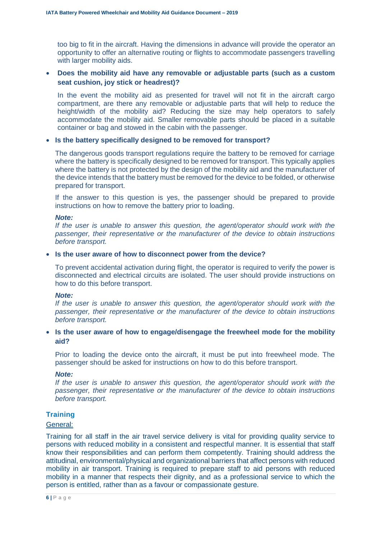too big to fit in the aircraft. Having the dimensions in advance will provide the operator an opportunity to offer an alternative routing or flights to accommodate passengers travelling with larger mobility aids.

## • **Does the mobility aid have any removable or adjustable parts (such as a custom seat cushion, joy stick or headrest)?**

In the event the mobility aid as presented for travel will not fit in the aircraft cargo compartment, are there any removable or adjustable parts that will help to reduce the height/width of the mobility aid? Reducing the size may help operators to safely accommodate the mobility aid. Smaller removable parts should be placed in a suitable container or bag and stowed in the cabin with the passenger.

#### • **Is the battery specifically designed to be removed for transport?**

The dangerous goods transport regulations require the battery to be removed for carriage where the battery is specifically designed to be removed for transport. This typically applies where the battery is not protected by the design of the mobility aid and the manufacturer of the device intends that the battery must be removed for the device to be folded, or otherwise prepared for transport.

If the answer to this question is yes, the passenger should be prepared to provide instructions on how to remove the battery prior to loading.

#### *Note:*

*If the user is unable to answer this question, the agent/operator should work with the passenger, their representative or the manufacturer of the device to obtain instructions before transport.*

#### • **Is the user aware of how to disconnect power from the device?**

To prevent accidental activation during flight, the operator is required to verify the power is disconnected and electrical circuits are isolated. The user should provide instructions on how to do this before transport.

#### *Note:*

*If the user is unable to answer this question, the agent/operator should work with the passenger, their representative or the manufacturer of the device to obtain instructions before transport.*

## • **Is the user aware of how to engage/disengage the freewheel mode for the mobility aid?**

Prior to loading the device onto the aircraft, it must be put into freewheel mode. The passenger should be asked for instructions on how to do this before transport.

## *Note:*

*If the user is unable to answer this question, the agent/operator should work with the passenger, their representative or the manufacturer of the device to obtain instructions before transport.*

## **Training**

#### General:

Training for all staff in the air travel service delivery is vital for providing quality service to persons with reduced mobility in a consistent and respectful manner. It is essential that staff know their responsibilities and can perform them competently. Training should address the attitudinal, environmental/physical and organizational barriers that affect persons with reduced mobility in air transport. Training is required to prepare staff to aid persons with reduced mobility in a manner that respects their dignity, and as a professional service to which the person is entitled, rather than as a favour or compassionate gesture.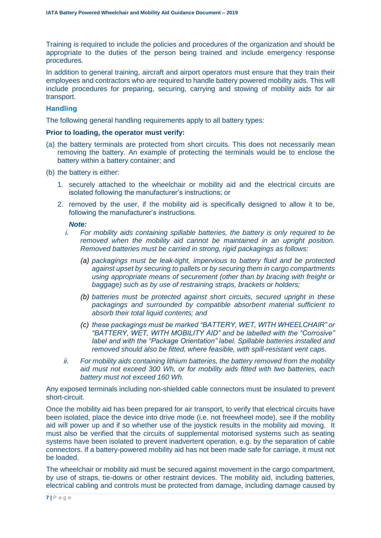Training is required to include the policies and procedures of the organization and should be appropriate to the duties of the person being trained and include emergency response procedures.

In addition to general training, aircraft and airport operators must ensure that they train their employees and contractors who are required to handle battery powered mobility aids. This will include procedures for preparing, securing, carrying and stowing of mobility aids for air transport.

# **Handling**

The following general handling requirements apply to all battery types:

## **Prior to loading, the operator must verify:**

- (a) the battery terminals are protected from short circuits. This does not necessarily mean removing the battery. An example of protecting the terminals would be to enclose the battery within a battery container; and
- (b) the battery is either:
	- 1. securely attached to the wheelchair or mobility aid and the electrical circuits are isolated following the manufacturer's instructions; or
	- 2. removed by the user, if the mobility aid is specifically designed to allow it to be, following the manufacturer's instructions.

## *Note:*

- *i. For mobility aids containing spillable batteries, the battery is only required to be removed when the mobility aid cannot be maintained in an upright position. Removed batteries must be carried in strong, rigid packagings as follows:* 
	- *(a) packagings must be leak-tight, impervious to battery fluid and be protected against upset by securing to pallets or by securing them in cargo compartments using appropriate means of securement (other than by bracing with freight or baggage) such as by use of restraining straps, brackets or holders;*
	- *(b) batteries must be protected against short circuits, secured upright in these packagings and surrounded by compatible absorbent material sufficient to absorb their total liquid contents; and*
	- *(c) these packagings must be marked "BATTERY, WET, WITH WHEELCHAIR" or "BATTERY, WET, WITH MOBILITY AID" and be labelled with the "Corrosive" label and with the "Package Orientation" label. Spillable batteries installed and removed should also be fitted, where feasible, with spill-resistant vent caps.*
- *ii. For mobility aids containing lithium batteries, the battery removed from the mobility aid must not exceed 300 Wh, or for mobility aids fitted with two batteries, each battery must not exceed 160 Wh.*

Any exposed terminals including non-shielded cable connectors must be insulated to prevent short-circuit.

Once the mobility aid has been prepared for air transport, to verify that electrical circuits have been isolated, place the device into drive mode (i.e. not freewheel mode), see if the mobility aid will power up and if so whether use of the joystick results in the mobility aid moving. It must also be verified that the circuits of supplemental motorised systems such as seating systems have been isolated to prevent inadvertent operation, e.g. by the separation of cable connectors. If a battery-powered mobility aid has not been made safe for carriage, it must not be loaded.

The wheelchair or mobility aid must be secured against movement in the cargo compartment, by use of straps, tie-downs or other restraint devices. The mobility aid, including batteries, electrical cabling and controls must be protected from damage, including damage caused by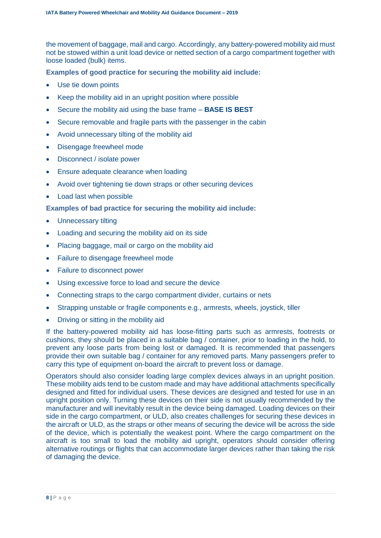the movement of baggage, mail and cargo. Accordingly, any battery-powered mobility aid must not be stowed within a unit load device or netted section of a cargo compartment together with loose loaded (bulk) items.

**Examples of good practice for securing the mobility aid include:**

- Use tie down points
- Keep the mobility aid in an upright position where possible
- Secure the mobility aid using the base frame **BASE IS BEST**
- Secure removable and fragile parts with the passenger in the cabin
- Avoid unnecessary tilting of the mobility aid
- Disengage freewheel mode
- Disconnect / isolate power
- Ensure adequate clearance when loading
- Avoid over tightening tie down straps or other securing devices
- Load last when possible

**Examples of bad practice for securing the mobility aid include:**

- Unnecessary tilting
- Loading and securing the mobility aid on its side
- Placing baggage, mail or cargo on the mobility aid
- Failure to disengage freewheel mode
- Failure to disconnect power
- Using excessive force to load and secure the device
- Connecting straps to the cargo compartment divider, curtains or nets
- Strapping unstable or fragile components e.g., armrests, wheels, joystick, tiller
- Driving or sitting in the mobility aid

If the battery-powered mobility aid has loose-fitting parts such as armrests, footrests or cushions, they should be placed in a suitable bag / container, prior to loading in the hold, to prevent any loose parts from being lost or damaged. It is recommended that passengers provide their own suitable bag / container for any removed parts. Many passengers prefer to carry this type of equipment on-board the aircraft to prevent loss or damage.

Operators should also consider loading large complex devices always in an upright position. These mobility aids tend to be custom made and may have additional attachments specifically designed and fitted for individual users. These devices are designed and tested for use in an upright position only. Turning these devices on their side is not usually recommended by the manufacturer and will inevitably result in the device being damaged. Loading devices on their side in the cargo compartment, or ULD, also creates challenges for securing these devices in the aircraft or ULD, as the straps or other means of securing the device will be across the side of the device, which is potentially the weakest point. Where the cargo compartment on the aircraft is too small to load the mobility aid upright, operators should consider offering alternative routings or flights that can accommodate larger devices rather than taking the risk of damaging the device.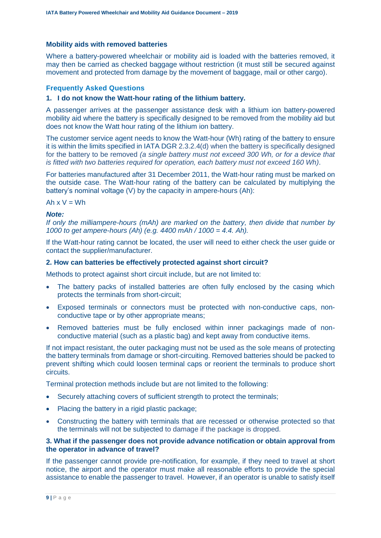## **Mobility aids with removed batteries**

Where a battery-powered wheelchair or mobility aid is loaded with the batteries removed, it may then be carried as checked baggage without restriction (it must still be secured against movement and protected from damage by the movement of baggage, mail or other cargo).

## **Frequently Asked Questions**

## **1. I do not know the Watt-hour rating of the lithium battery.**

A passenger arrives at the passenger assistance desk with a lithium ion battery-powered mobility aid where the battery is specifically designed to be removed from the mobility aid but does not know the Watt hour rating of the lithium ion battery.

The customer service agent needs to know the Watt-hour (Wh) rating of the battery to ensure it is within the limits specified in IATA DGR 2.3.2.4(d) when the battery is specifically designed for the battery to be removed *(a single battery must not exceed 300 Wh, or for a device that is fitted with two batteries required for operation, each battery must not exceed 160 Wh)*.

For batteries manufactured after 31 December 2011, the Watt-hour rating must be marked on the outside case. The Watt-hour rating of the battery can be calculated by multiplying the battery's nominal voltage (V) by the capacity in ampere-hours (Ah):

Ah  $x V = Wh$ 

## *Note:*

*If only the milliampere-hours (mAh) are marked on the battery, then divide that number by 1000 to get ampere-hours (Ah) (e.g. 4400 mAh / 1000 = 4.4. Ah).*

If the Watt-hour rating cannot be located, the user will need to either check the user guide or contact the supplier/manufacturer.

## **2. How can batteries be effectively protected against short circuit?**

Methods to protect against short circuit include, but are not limited to:

- The battery packs of installed batteries are often fully enclosed by the casing which protects the terminals from short-circuit;
- Exposed terminals or connectors must be protected with non-conductive caps, nonconductive tape or by other appropriate means;
- Removed batteries must be fully enclosed within inner packagings made of nonconductive material (such as a plastic bag) and kept away from conductive items.

If not impact resistant, the outer packaging must not be used as the sole means of protecting the battery terminals from damage or short-circuiting. Removed batteries should be packed to prevent shifting which could loosen terminal caps or reorient the terminals to produce short circuits.

Terminal protection methods include but are not limited to the following:

- Securely attaching covers of sufficient strength to protect the terminals;
- Placing the battery in a rigid plastic package;
- Constructing the battery with terminals that are recessed or otherwise protected so that the terminals will not be subjected to damage if the package is dropped.

## **3. What if the passenger does not provide advance notification or obtain approval from the operator in advance of travel?**

If the passenger cannot provide pre-notification, for example, if they need to travel at short notice, the airport and the operator must make all reasonable efforts to provide the special assistance to enable the passenger to travel. However, if an operator is unable to satisfy itself